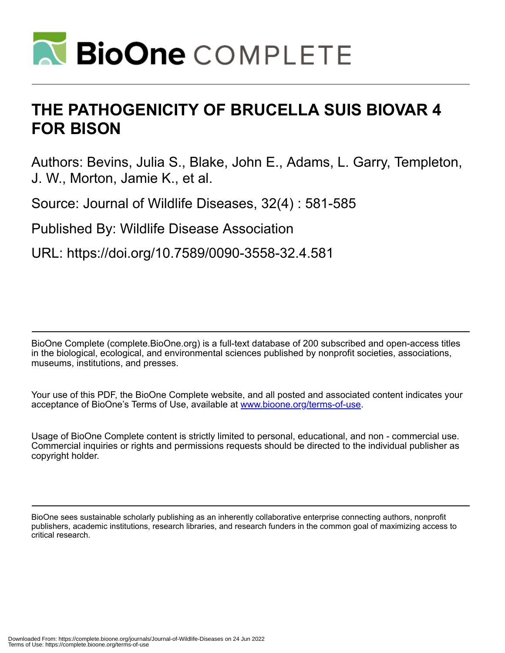

# **THE PATHOGENICITY OF BRUCELLA SUIS BIOVAR 4 FOR BISON**

Authors: Bevins, Julia S., Blake, John E., Adams, L. Garry, Templeton, J. W., Morton, Jamie K., et al.

Source: Journal of Wildlife Diseases, 32(4) : 581-585

Published By: Wildlife Disease Association

URL: https://doi.org/10.7589/0090-3558-32.4.581

BioOne Complete (complete.BioOne.org) is a full-text database of 200 subscribed and open-access titles in the biological, ecological, and environmental sciences published by nonprofit societies, associations, museums, institutions, and presses.

Your use of this PDF, the BioOne Complete website, and all posted and associated content indicates your acceptance of BioOne's Terms of Use, available at www.bioone.org/terms-of-use.

Usage of BioOne Complete content is strictly limited to personal, educational, and non - commercial use. Commercial inquiries or rights and permissions requests should be directed to the individual publisher as copyright holder.

BioOne sees sustainable scholarly publishing as an inherently collaborative enterprise connecting authors, nonprofit publishers, academic institutions, research libraries, and research funders in the common goal of maximizing access to critical research.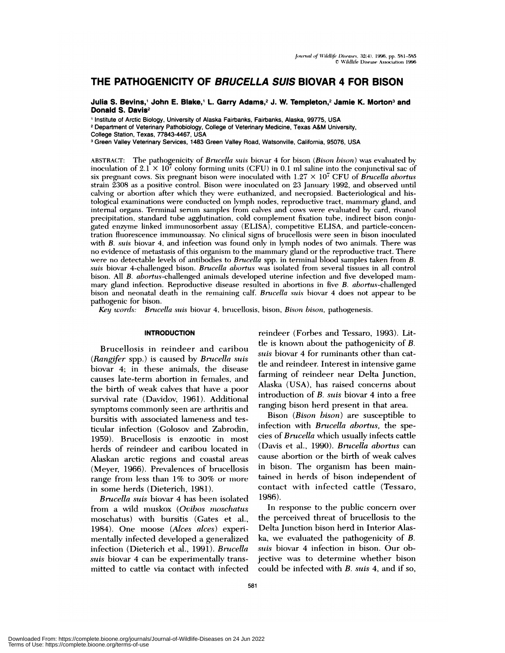# **THE PATHOGENICITY OF BRUCELLA SUIS BIOVAR 4 FOR BISON**

**Julia S. Bevins,1 John E. Blake,1 L. Garry Adams,2 J. W. Templeton,2 Jamie K. Morton3 and Donald S. Davis2**

Institute of Arctic Biology, University of Alaska Fairbanks, Fairbanks, Alaska, 99775, USA

<sup>2</sup> Department of Veterinary Pathobiology, College of Veterinary Medicine, Texas A&M University,

Green Valley Veterinary Services, 1483 Green Valley Road, Watsonville, California, 95076, USA

ABSTRACT: The pathogenicity of *Brucella suis* biovar 4 for bison *(Bison bison)* **was evaluated** by inoculation of  $2.1 \times 10^7$  colony forming units (CFU) in 0.1 ml saline into the conjunctival sac of six pregnant cows. Six pregnant bison were inoculated with 1.27 *X* 10' CFU of *Brucella abortus* strain 2308 **as a positive control. Bison were** inoculated on 23 **January** 1992, and observed until **calving or abortion after** which they **were** euthanized, and necropsied. Bacteriological and histological examinations were conducted on lymph nodes, reproductive tract, mammary gland, and internal organs. Terminal serum samples from calves and cows were evaluated by card, rivanol **precipitation,** standard tube agglutination, cold complement fixation tube, indirect bison conjugated **enzyme** linked immunosorbent assay (EUISA), competitive ELISA, and particle-concentration fluorescence immunoassay. No clinical signs of brucellosis were seen in bison inoculated with *B. suis* biovar 4, and infection was found only in lymph nodes of two animals. There was **no evidence of metastasis of** this **organism to** the mammary gland or the reproductive tract. There **were no** detectable levels of antibodies to *Brucella* spp. in terminal blood samples taken from *B. suis* **biovar** 4-challenged bison. *Brucella abortus* **was** isolated **from several tissues in** all control bison. All *B.* abortus-challenged animals developed uterine infection and five developed mam mary gland infection. Reproductive disease resulted in abortions in five *B. abortus-challenged* bison and neonatal death in the remaining calf. *Brucella suis* biovar 4 does not appear to be pathogenic for bison.

*Key words: Brncella suis* biovar 4, brucellosis, bison, *Bison bison,* pathogenesis.

#### **INTRODUCTION**

Brucellosis in reindeer and caribou *(Ran gfer* spp.) is caused by *Brucella suis* biovar 4; in these animals, the disease causes late-term abortion in females, and the birth of weak calves that have a poor survival rate (Davidov, 1961). Additional symptoms commonly seen are arthritis and bursitis with associated lameness and testicular infection (Golosov and Zabrodin, 1959). Bruce!losis is enzootic in most herds of reindeer and caribou located in Alaskan arctic regions and coastal areas (Meyer, 1966). Prevalences of brucellosis range from less than 1% to 30% or more in some herds (Dieterich, 1981).

*Brucella suis* biovar 4 has been isolated from a wild muskox *(Ovibos moschatus* moschatus) with bursitis (Gates et al., 1984). One moose *(Alces alces)* experimentally infected developed a generalized infection (Dieterich et al., 1991). *Brucella suis* biovar 4 can be experimentally transmitted to cattle via contact with infected reindeer (Forbes and Tessaro, 1993). Little is known about the pathogenicity of *B. suis* biovar 4 for ruminants other than cattle and reindeer. Interest in intensive game farming of reindeer near Delta Junction, Alaska (USA), has raised concerns about introduction of *B. sins* biovar 4 into a free ranging bison herd present in that area.

Bison *(Bison bison)* are susceptible to infection with *Brucella abortus,* the species of *Brucella* which usually infects cattle (Davis et a!., 1990). *Brucella abortus* can cause abortion or the birth of weak calves in bison. The organism has been maintained in herds of bison independent of contact with infected cattle (Tessaro, 1986).

In response to the public concern over the perceived threat of brucellosis to the Delta Junction bison herd in Interior Alaska, we evaluated the pathogenicity of *B. sins* biovar 4 infection in bison. Our objective was to determine whether bison could be infected with *B. suis* 4, and if so,

College Station, Texas, 77843-4467, USA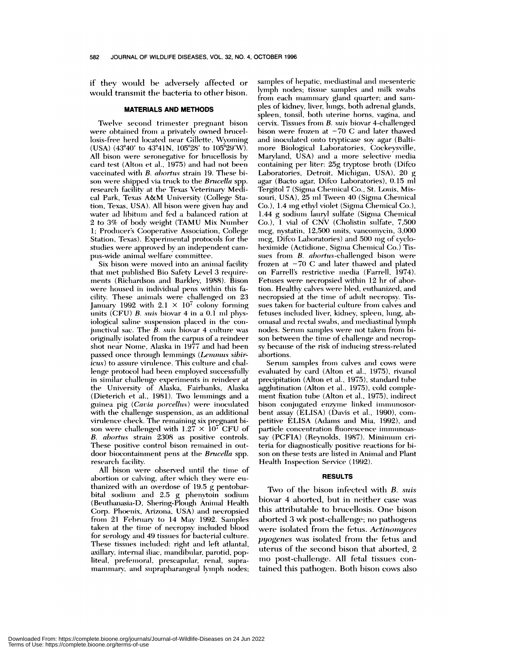if they would be adversely affected or would transmit the bacteria to other bison.

#### **MATERIALS AND METHODS**

Twelve second trimester pregnant bison were obtained from a privately owned brucellosis-free herd located near Gillette, Wyoming (USA) (43°40' to 43°41N, 105°28' to 105°29'W). All bison were seronegative for brucellosis by card test (Alton et al., 1975) and had not been vaccinated with *B. abortus* strain 19. These bison were shipped via truck to the *Brucella* spp. research facility at the Texas Veterinary Medical Park, Texas A&M University (College Station, Texas, USA). All bison were given hay and water ad lihitum and fed a balanced ration at 2 to 3% of body weight (TAMU Mix Number 1; Producer's Cooperative Association, College Station, Texas). Experimental protocols for the studies were approved by an independent cam pus-wide animal welfare committee.

Six bison were moved into an animal facility that met published Bio Safety Level 3 requirements (Richardson and Barkley, 1988). Bison were housed in individual pens within this fa cility. These animals were challenged on 23 January 1992 with  $2.1 \times 10^7$  colony forming units (CFU) *B. suis* biovar 4 in a 0.1 nil physiological saline suspension placed in the conjunctival sac. The *B. suis* biovar 4 culture was originally isolated from the carpus of a reindeer shot near Nome, Alaska in 1977 and had been passed once through lemmings (Lemmus sibir*icus)* to assure virulence. This culture and challenge protocol had been employed successfully in similar challenge experiments in reindeer at the University of Alaska, Fairbanks, Alaska (Dieterich et al., 1981). Two lemmings and a guinea iig *(Cavia porcellu.s)* were inoculated with the challenge suspension, as an additional virulence check. The remaining six pregnant bi son were challenged with  $1.27 \times 10^7$  CFU of *B. abortus* strain 2308 as positive controls. These positive control bison remained in out door biocontainment pens at the *Brucella* spp. research facility.

All bison were observed until the time of abortion or calving, after which they were thanized with an overdose of 19.5 g pentobarbital sodium and 2.5 g phenvtoin sodium (Beuthanasia-D, Shering-Plough Animal Health Corp. Phoenix, Arizona, USA) and necropsied from 21 February to 14 May 1992. Samples taken at the time of necropsy included blood for serology and 49 tissues for bacterial culture. These tissues included: right and left atlantal, axillary, internal iliac, mandibular, parotid, popliteal, prefemoral, prescapular, renal, supramammary, and suprapharangeal lymph nodes; samples of hepatic, mediastinal and mesenteric lymph nodes; tissue samples and milk swabs from each mammary gland quarter; and sampies of kidney, liver, lungs, both adrenal glands, spleen, tonsil, both uterine horns, vagina, and cervix. Tissues from *B. suis* biovar 4-challenged bison were frozen at  $-70$  C and later thawed and inoculated onto trypticase soy agar (Baltimore Biological Laboratories, Cockeysville, Maryland, USA) and a more selective media containing per **liter:** 25g tryptose broth (Difco Laboratories, Detroit, Michigan, USA), 20 g agar (Bacto agar, Difco Laboratories), 0.15 ml Tergitol 7 (Sigma Chemical Co., St. Louis, Mis souri, USA), 25 ml Tween 40 (Sigma Chemical Co.), 1.4 ing ethyl violet (Sigma Chemical Co.), 1.44 g sodium lauryl sulfate (Sigma Chemical Co.), 1 vial of CNV (Cholistin sulfate, 7,500 mcg, nystatin, 12,500 units, vancomycin, 3,000 mcg, Difco Laboratories) and 500 mg of cycloheximide (Actidione, Sigma Chemical Co.) Tis sues from *B. abortus-challenged* bison were frozen at  $-70$  C and later thawed and plated on Farrell's restrictive media (Farrell, 1974). Fetuses were necropsied within 12 hr of abortion. Healthy calves were bled, euthanized, and necropsied at the time of adult necropsy. Tis sues taken for bacterial culture from calves and fetuses included liver, kidney, spleen, lung, abomasal and rectal swabs, and mediastinal lymph son between the time of challenge and necropsy because of the risk of inducing stress-related abortions.

Serum samples from calves and cows were evaluated by card (Aiton et al., 1975), rivanol precipitation (Alton et a!., 1975), standard tube agglutination (Alton et al., 1975), cold complement fixation tube (Alton et al., 1975), indirect bison conjugated enzyme linked i bent assay (ELISA) (Davis et al., 1990), com petitive ELISA (Adams and Mia, 1992), and particle concentration fluorescence immunoassay (PCFIA) (Reynolds, 1987). Minimum criteria for diagnostically positive reactions for bi son on these tests are listed in Animal and Plant Health Inspection Service (1992).

#### **RESULTS**

Two of the bison infected with *B. suis* biovar 4 aborted, but in neither case was this attributable to brucellosis. One bison aborted 3 wk post-challenge; no pathogens were isolated from the fetus. Actinomyces *pyogenes* was isolated from the fetus and uterus of the second bison that aborted, 2 mo post-challenge. All fetal tissues tamed this pathogen. Both bison *cows* also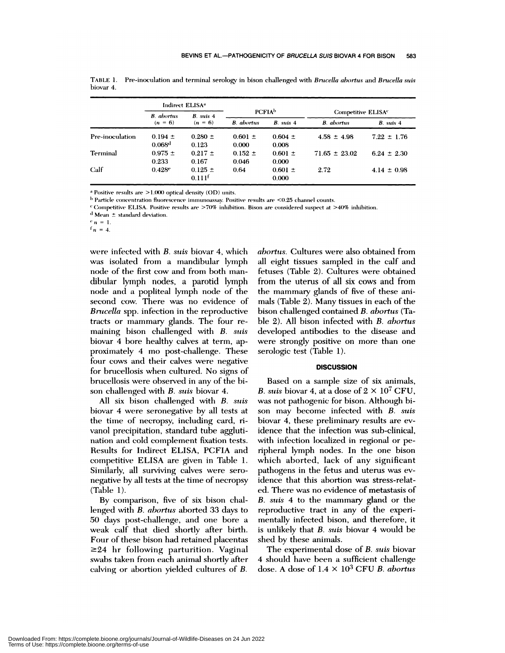|                 | Indirect ELISA <sup>a</sup> |               |                           |             |                                |                  |  |
|-----------------|-----------------------------|---------------|---------------------------|-------------|--------------------------------|------------------|--|
|                 | <b>B.</b> abortus           | $B.$ suis $4$ | <b>PCFIA</b> <sup>b</sup> |             | Competitive ELISA <sup>c</sup> |                  |  |
|                 | $(n = 6)$                   | $(n = 6)$     | <b>B.</b> abortus         | B. suis 4   | <b>B.</b> abortus              | <b>B.</b> suis 4 |  |
| Pre-inoculation | $0.194 \pm$                 | $0.280 \pm$   | $0.601 \pm$               | $0.604 \pm$ | $4.58 \pm 4.98$                | $7.22 \pm 1.76$  |  |
|                 | 0.068 <sup>d</sup>          | 0.123         | 0.000                     | 0.008       |                                |                  |  |
| Terminal        | $0.975 \pm$                 | $0.217 \pm$   | $0.152 \pm$               | $0.601 \pm$ | $71.65 \pm 23.02$              | $6.24 \pm 2.30$  |  |
|                 | 0.233                       | 0.167         | 0.046                     | 0.000       |                                |                  |  |
| Calf            | 0.428e                      | $0.125 \pm$   | 0.64                      | $0.601 \pm$ | 2.72                           | $4.14 \pm 0.98$  |  |
|                 |                             | $0.111^{f}$   |                           | 0.000       |                                |                  |  |

**TABLE 1.** Pre-inoculation and terminal serology in bison challenged with *Brucella ahortus* and *Brncella suis* I)iovar 4.

*a* Positive results are  $>1.000$  optical density (OD) units.

 $<sup>b</sup>$  Particle concentration fluorescence immunoassay. Positive results are <0.25 channel counts.</sup>

 $\textdegree$  Competitive **ELISA**. Positive results are  $\textdegree$ 70% inhibition. Bison are considered suspect at  $\textdegree$ 240% inhibition.

Mean *±* standard deviation.

 $\frac{e}{n} = 1.$ 

 $n = 4$ .

were infected with *B. suis* biovar 4, which was isolated from a mandibular lymph node of the first cow and from both man dibular lymph nodes, a parotid lymph node and a popliteal lymph node of the second cow. There was no evidence of *Brucella* spp. infection in the reproductive tracts or mammary glands. The four re maining bison challenged with *B. suis* biovar 4 bore healthy calves at term, approximately 4 mo post-challenge. These four cows and their calves were negative for brucellosis when cultured. No signs of brucellosis were observed in any of the bi son challenged with *B. suis* biovar 4.

A!! six bison challenged with *B. suis* biovar 4 were seronegative by all tests at the time of necropsy, including card, **ri**vano! precipitation, standard tube agglutination and cold complement fixation tests. Results for Indirect ELISA, PCFIA and competitive ELISA are given in Table 1. Similarly, all surviving calves were sero negative by all tests at the time of necropsy (Table 1).

By comparison, five of six bison cha! lenged with *B. ahortus* aborted 33 days to 50 days post-challenge, and one bore a weak calf that died shortly after birth. Four of these bison had retained placentas  $\geq$ 24 hr following parturition. Vaginal swabs taken from each animal shortly after calving or abortion yielded cultures of *B.*

*abortus.* Cultures were also obtained from all eight tissues sampled in the calf and fetuses (Table 2). Cultures were obtained from the uterus of all six cows and from the mammary glands of five of these animals (Table 2). Many tissues in each of the bison challenged contained *B. abortus* (Table 2). All bison infected with *B. ahortus* developed antibodies to the disease and were strongly positive on more than one serologic test (Table 1).

## **DISCUSSION**

Based on a sample size of six animals, *B. suis* biovar 4, at a dose of  $2 \times 10^7$  CFU, was not pathogenic for bison. Although bi son may become infected with *B. suis* biovar 4, these preliminary results are evidence that the infection was sub-clinical, with infection localized in regional or peripheral lymph nodes. In the one bison which aborted, lack of any significant pathogens in the fetus and uterus was evidence that this abortion was stress-related. There was no evidence of metastasis of *B. suis* 4 to the mammary gland or the reproductive tract in any of the experimentally infected bison, and therefore, it is unlikely that *B. suis* biovar 4 would be shed by these animals.

The experimental dose of *B. suis* biovar 4 should have been a sufficient challenge dose. A dose of  $1.4 \times 10^3$  CFU *B. abortus*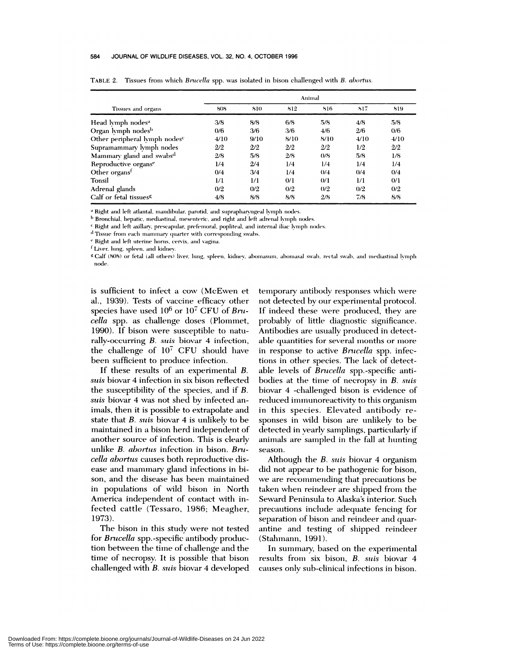#### 584 JOURNAL OF WILDLIFE DISEASES, VOL. 32, NO. 4, OCTOBER 1996

|                                           | Animal |      |      |      |      |      |  |  |  |
|-------------------------------------------|--------|------|------|------|------|------|--|--|--|
| Tissues and organs                        | 808    | 810  | 812  | 816  | 817  | 819  |  |  |  |
| Head lymph nodes <sup>a</sup>             | 3/8    | 8/8  | 6/8  | 5/8  | 4/8  | 5/8  |  |  |  |
| Organ lymph nodes <sup>b</sup>            | 0/6    | 3/6  | 3/6  | 4/6  | 2/6  | 0/6  |  |  |  |
| Other peripheral lymph nodes <sup>c</sup> | 4/10   | 9/10 | 8/10 | 8/10 | 4/10 | 4/10 |  |  |  |
| Supramammary lymph nodes                  | 2/2    | 2/2  | 2/2  | 2/2  | 1/2  | 2/2  |  |  |  |
| Mammary gland and swabs <sup>d</sup>      | 2/8    | 5/8  | 2/8  | 0/8  | 5/8  | 1/8  |  |  |  |
| Reproductive organse                      | 1/4    | 2/4  | 1/4  | 1/4  | 1/4  | 1/4  |  |  |  |
| Other organs <sup>f</sup>                 | 0/4    | 3/4  | 1/4  | 0/4  | 0/4  | 0/4  |  |  |  |
| Tonsil                                    | 1/1    | 1/1  | 0/1  | 0/1  | 1/1  | 0/1  |  |  |  |
| Adrenal glands                            | 0/2    | 0/2  | 0/2  | 0/2  | 0/2  | 0/2  |  |  |  |
| Calf or fetal tissues <sup>g</sup>        | 4/8    | 8/8  | 8/8  | 2/8  | 7/8  | 8/8  |  |  |  |

TABLE 2. Tissues from which *Brucella* spp. was isolated in bison challenged with *B. ahortus.*

Right and left atlantal. mandibular. parotid. and suprapharvngeal lymph nodes.

<sup>b</sup> Bronchial, hepatic, mediastinal, mesenteric, and right and left adrenal lymph nodes.

Right and left axillarv. prescapular. prefemoral. popliteal. and internal iliac lymph nodes.

Tissue from each mammary quarter with corresponding swabs.

Right and left uterine horns, cervix, and vagina.

<sup>f</sup> Liver, lung, spleen, and kidney.

g Calf (808) or fetal (all others) liver, lung, spleen, kidney, abomasum, abomasal swab, rectal swab, and mediastinal lymph node.

is sufficient to infect a cow (McEwen et al., 1939). Tests of vaccine efficacy other species have used 106 or i07 CFU of *Brucella* spp. as challenge doses (Plommet, 1990). If bison were susceptible to naturally-occurring *B. suis* biovar 4 infection, the challenge of  $10^7$  CFU should have been sufficient to produce infection.

If these results of an experimenta! *B. suis* biovar 4 infection in six bison reflected the susceptibility of the species, and if *B. suis* biovar 4 was not shed by infected animals, then it is possible to extrapolate and state that *B. suis* biovar 4 is unlikely to be maintained in a bison herd independent of another source of infection. This is clearly unlike *B. abortus* infection in bison. *Bracella abortus* causes both reproductive dis ease and mammary gland infections in bison, and the disease has been maintained in populations of wild bison in North America independent of contact with infected cattle (Tessaro, 1986; Meagher, 1973).

The bison in this study were not tested for *Brucella* spp.-specific antibody production between the time of challenge and the time of necropsy. It is possible that bison challenged with *B. suis* biovar 4 developed

temporary antibody responses which were not detected by our experimental protocol. If indeed these were produced, they are probably of little diagnostic significance. Antibodies are usually produced in detectable quantities for several months or more in response to active *Brucella* spp. infections in other species. The lack of detectable levels of *Brucella* spp.-specific antibodies at the time of necropsy in *B. suis* biovar 4 -challenged bison is evidence of reduced immunoreactivity to this organism in this species. Elevated antibody responses in wild bison are unlikely to be detected in yearly samplings, particularly if animals are sampled in the fall at hunting season.

Although the *B. suis* biovar 4 organism did not appear to be pathogenic for bison, we are recommending that precautions be taken when reindeer are shipped from the Seward Peninsula to Alaska's interior. Such precautions include adequate fencing for separation of bison and reindeer and quarantine and testing of shipped reindeer (Stahmann, 1991).

In summary, based on the experimental results from six bison, *B. suis* biovar 4 causes only sub-clinical infections in bison.